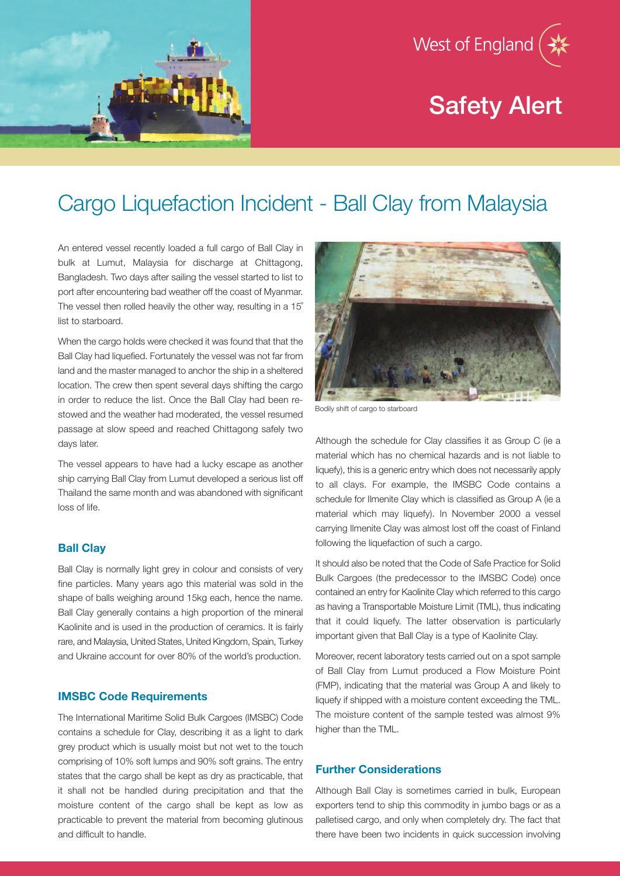

# Safety Alert



## Cargo Liquefaction Incident - Ball Clay from Malaysia

An entered vessel recently loaded a full cargo of Ball Clay in bulk at Lumut, Malaysia for discharge at Chittagong, Bangladesh. Two days after sailing the vessel started to list to port after encountering bad weather off the coast of Myanmar. The vessel then rolled heavily the other way, resulting in a 15˚ list to starboard.

When the cargo holds were checked it was found that that the Ball Clay had liquefied. Fortunately the vessel was not far from land and the master managed to anchor the ship in a sheltered location. The crew then spent several days shifting the cargo in order to reduce the list. Once the Ball Clay had been restowed and the weather had moderated, the vessel resumed passage at slow speed and reached Chittagong safely two days later.

The vessel appears to have had a lucky escape as another ship carrying Ball Clay from Lumut developed a serious list off Thailand the same month and was abandoned with significant loss of life.

### **Ball Clay**

Ball Clay is normally light grey in colour and consists of very fine particles. Many years ago this material was sold in the shape of balls weighing around 15kg each, hence the name. Ball Clay generally contains a high proportion of the mineral Kaolinite and is used in the production of ceramics. It is fairly rare, and Malaysia, United States, United Kingdom, Spain, Turkey and Ukraine account for over 80% of the world's production.

#### **IMSBC Code Requirements**

The International Maritime Solid Bulk Cargoes (IMSBC) Code contains a schedule for Clay, describing it as a light to dark grey product which is usually moist but not wet to the touch comprising of 10% soft lumps and 90% soft grains. The entry states that the cargo shall be kept as dry as practicable, that it shall not be handled during precipitation and that the moisture content of the cargo shall be kept as low as practicable to prevent the material from becoming glutinous and difficult to handle.



Bodily shift of cargo to starboard

Although the schedule for Clay classifies it as Group C (ie a material which has no chemical hazards and is not liable to liquefy), this is a generic entry which does not necessarily apply to all clays. For example, the IMSBC Code contains a schedule for Ilmenite Clay which is classified as Group A (ie a material which may liquefy). In November 2000 a vessel carrying Ilmenite Clay was almost lost off the coast of Finland following the liquefaction of such a cargo.

It should also be noted that the Code of Safe Practice for Solid Bulk Cargoes (the predecessor to the IMSBC Code) once contained an entry for Kaolinite Clay which referred to this cargo as having a Transportable Moisture Limit (TML), thus indicating that it could liquefy. The latter observation is particularly important given that Ball Clay is a type of Kaolinite Clay.

Moreover, recent laboratory tests carried out on a spot sample of Ball Clay from Lumut produced a Flow Moisture Point (FMP), indicating that the material was Group A and likely to liquefy if shipped with a moisture content exceeding the TML. The moisture content of the sample tested was almost 9% higher than the TML.

### **Further Considerations**

Although Ball Clay is sometimes carried in bulk, European exporters tend to ship this commodity in jumbo bags or as a palletised cargo, and only when completely dry. The fact that there have been two incidents in quick succession involving